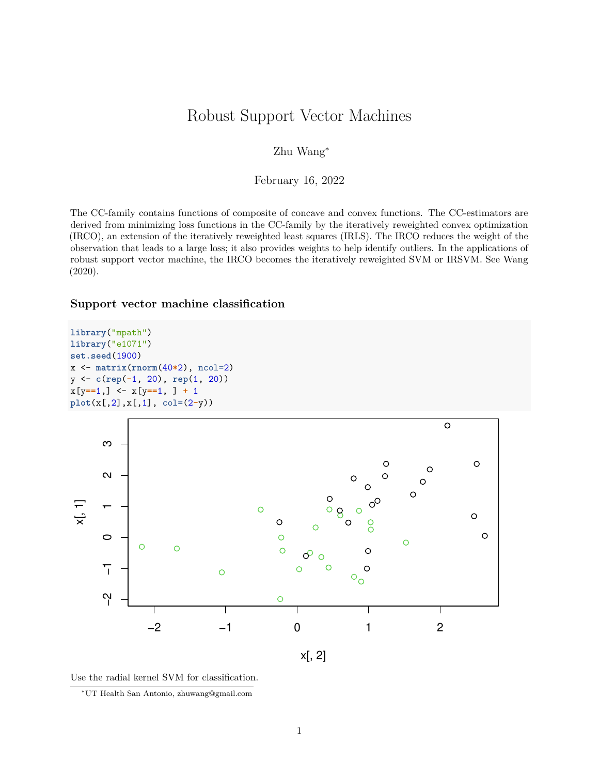# Robust Support Vector Machines

## Zhu Wang<sup>∗</sup>

### February 16, 2022

The CC-family contains functions of composite of concave and convex functions. The CC-estimators are derived from minimizing loss functions in the CC-family by the iteratively reweighted convex optimization (IRCO), an extension of the iteratively reweighted least squares (IRLS). The IRCO reduces the weight of the observation that leads to a large loss; it also provides weights to help identify outliers. In the applications of robust support vector machine, the IRCO becomes the iteratively reweighted SVM or IRSVM. See Wang [\(2020\)](#page-7-0).

## **Support vector machine classification**

```
library("mpath")
library("e1071")
set.seed(1900)
x <- matrix(rnorm(40*2), ncol=2)
y <- c(rep(-1, 20), rep(1, 20))
x[y==1,] <- x[y==1, ] + 1
plot(x[,2],x[,1], col=(2-y))
```




<sup>∗</sup>UT Health San Antonio, [zhuwang@gmail.com](mailto:zhuwang@gmail.com)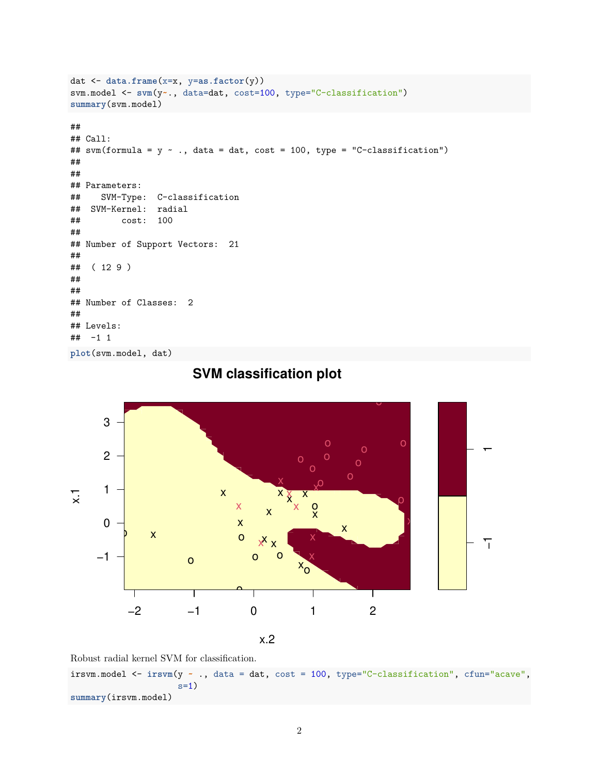```
dat <- data.frame(x=x, y=as.factor(y))
svm.model <- svm(y~., data=dat, cost=100, type="C-classification")
summary(svm.model)
##
## Call:
## sym(formula = y \sim ., data = dat, cost = 100, type = "C-classification")##
##
## Parameters:
## SVM-Type: C-classification
## SVM-Kernel: radial
## cost: 100
##
## Number of Support Vectors: 21
##
## ( 12 9 )
##
##
## Number of Classes: 2
##
## Levels:
## -1 1
plot(svm.model, dat)
```


# **SVM classification plot**

Robust radial kernel SVM for classification.

irsvm.model <- **irsvm**(y **~** ., data = dat, cost = 100, type="C-classification", cfun="acave",  $s=1)$ **summary**(irsvm.model)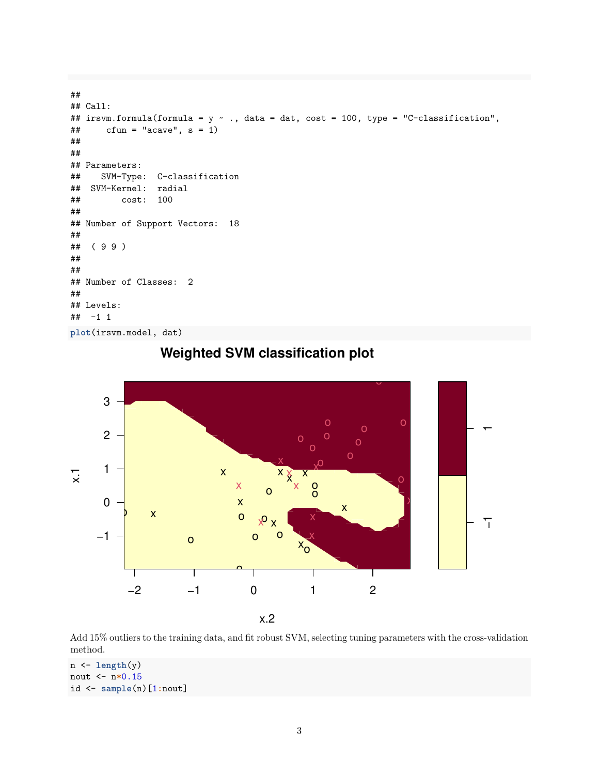```
##
## Call:
## irsvm.formula(formula = y ~ ., data = dat, cost = 100, type = "C-classification",
\# cfun = "acave", s = 1)
##
##
## Parameters:
## SVM-Type: C-classification
## SVM-Kernel: radial
## cost: 100
##
## Number of Support Vectors: 18
##
## ( 9 9 )
##
##
## Number of Classes: 2
##
## Levels:
## -1 1
plot(irsvm.model, dat)
```


**Weighted SVM classification plot**

Add 15% outliers to the training data, and fit robust SVM, selecting tuning parameters with the cross-validation method.

```
n <- length(y)
nout <- n*0.15
id <- sample(n)[1:nout]
```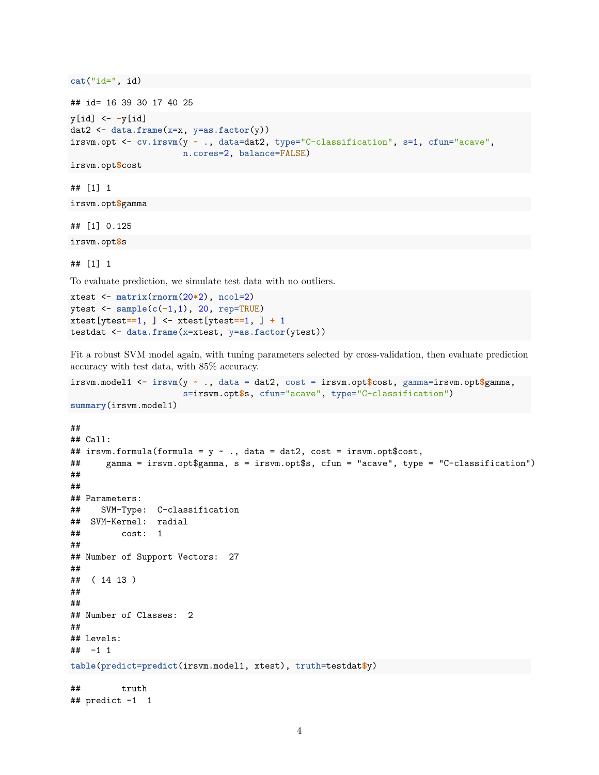**cat**("id=", id)

```
## id= 16 39 30 17 40 25
y[id] <- -y[id]
dat2 <- data.frame(x=x, y=as.factor(y))
irsvm.opt <- cv.irsvm(y ~ ., data=dat2, type="C-classification", s=1, cfun="acave",
                      n.cores=2, balance=FALSE)
```
irsvm.opt**\$**cost

## [1] 1

irsvm.opt**\$**gamma

## [1] 0.125 irsvm.opt**\$**s

## [1] 1

To evaluate prediction, we simulate test data with no outliers.

```
xtest <- matrix(rnorm(20*2), ncol=2)
ytest <- sample(c(-1,1), 20, rep=TRUE)
xtest[ytest==1, ] <- xtest[ytest==1, ] + 1
testdat <- data.frame(x=xtest, y=as.factor(ytest))
```
Fit a robust SVM model again, with tuning parameters selected by cross-validation, then evaluate prediction accuracy with test data, with 85% accuracy.

```
irsvm.model1 <- irsvm(y ~ ., data = dat2, cost = irsvm.opt$cost, gamma=irsvm.opt$gamma,
                      s=irsvm.opt$s, cfun="acave", type="C-classification")
```

```
summary(irsvm.model1)
```

```
##
## Call:
## irsvm.formula(formula = y \sim ., data = dat2, cost = irsvm.opt$cost,
## gamma = irsvm.opt$gamma, s = irsvm.opt$s, cfun = "acave", type = "C-classification")
##
##
## Parameters:
## SVM-Type: C-classification
## SVM-Kernel: radial
## cost: 1
##
## Number of Support Vectors: 27
##
## ( 14 13 )
##
##
## Number of Classes: 2
##
## Levels:
## -1 1
table(predict=predict(irsvm.model1, xtest), truth=testdat$y)
## truth
## predict -1 1
```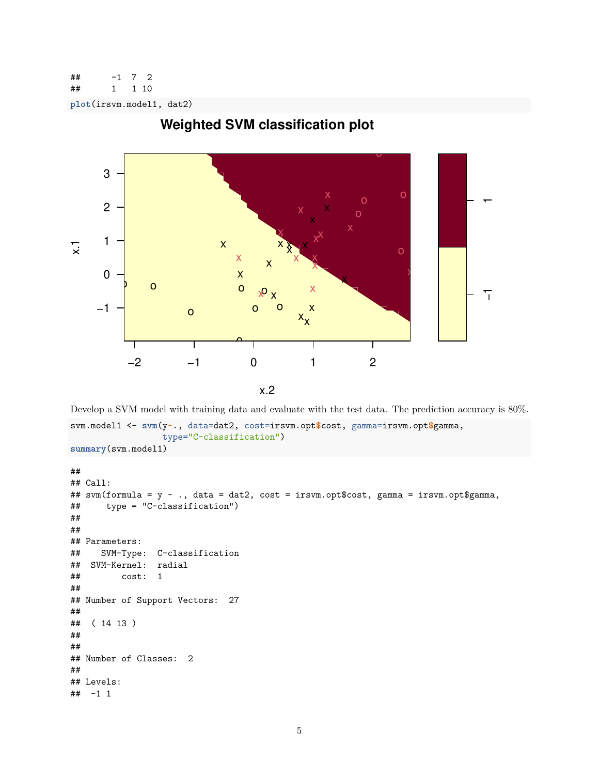```
\# -1 7 2## 1 1 10
```
**plot**(irsvm.model1, dat2)



# **Weighted SVM classification plot**

Develop a SVM model with training data and evaluate with the test data. The prediction accuracy is 80%. svm.model1 <- **svm**(y**~**., data=dat2, cost=irsvm.opt**\$**cost, gamma=irsvm.opt**\$**gamma, type="C-classification") **summary**(svm.model1)

```
##
## Call:
## svm(formula = y ~ ., data = dat2, cost = irsvm.opt$cost, gamma = irsvm.opt$gamma,
## type = "C-classification")
##
##
## Parameters:
## SVM-Type: C-classification
## SVM-Kernel: radial
## cost: 1
##
## Number of Support Vectors: 27
##
## ( 14 13 )
##
##
## Number of Classes: 2
##
## Levels:
## -1 1
```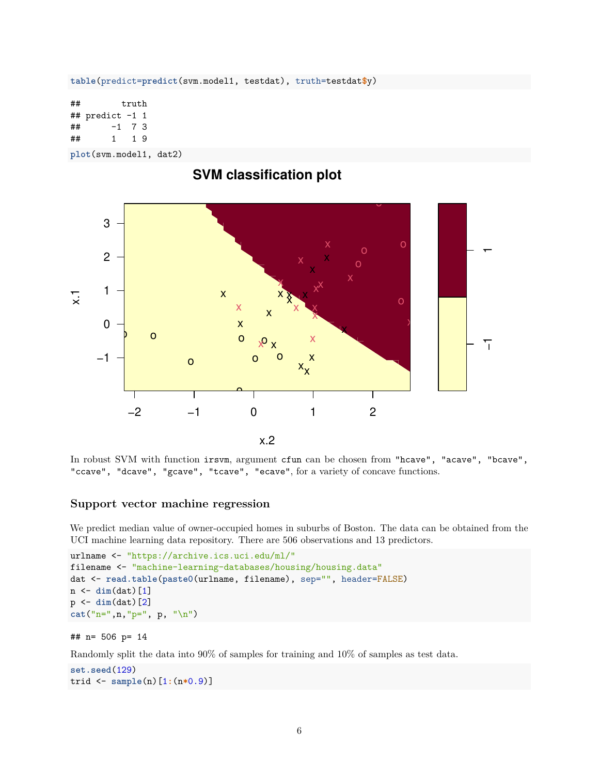**table**(predict=**predict**(svm.model1, testdat), truth=testdat**\$**y)

## truth ## predict -1 1  $\#$   $+$   $\frac{1}{7}$   $\frac{7}{3}$ ## 1 1 9

**plot**(svm.model1, dat2)



In robust SVM with function irsvm, argument cfun can be chosen from "hcave", "acave", "bcave", "ccave", "dcave", "gcave", "tcave", "ecave", for a variety of concave functions.

#### **Support vector machine regression**

We predict median value of owner-occupied homes in suburbs of Boston. The data can be obtained from the UCI machine learning data repository. There are 506 observations and 13 predictors.

```
urlname <- "https://archive.ics.uci.edu/ml/"
filename <- "machine-learning-databases/housing/housing.data"
dat <- read.table(paste0(urlname, filename), sep="", header=FALSE)
n <- dim(dat)[1]
p <- dim(dat)[2]
cat("n=",n,"p=", p, "\n")
```

```
## n= 506 p= 14
```
Randomly split the data into 90% of samples for training and 10% of samples as test data.

```
set.seed(129)
trid <- sample(n)[1:(n*0.9)]
```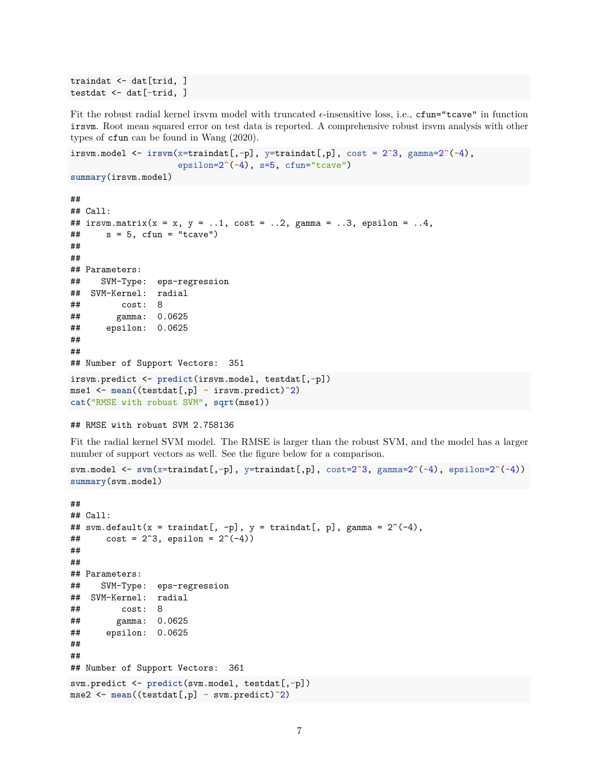```
traindat <- dat[trid, ]
testdat <- dat[-trid, ]
```
Fit the robust radial kernel irsvm model with truncated  $\epsilon$ -insensitive loss, i.e., cfun="tcave" in function irsvm. Root mean squared error on test data is reported. A comprehensive robust irsvm analysis with other types of cfun can be found in Wang [\(2020\)](#page-7-0).

```
irsvm.model <- irsvm(x=traindat[,-p], y=traindat[,p], cost = 2^3, gamma=2^(-4),
                     epsilon=2^(-4), s=5, cfun="tcave")
```

```
summary(irsvm.model)
```

```
##
## Call:
## irsvm.matrix(x = x, y = ...1, cost = ...2, gamma = ..3, epsilon = ..4,
\# s = 5, cfun = "tcave")
##
##
## Parameters:
## SVM-Type: eps-regression
## SVM-Kernel: radial
## cost: 8
## gamma: 0.0625
## epsilon: 0.0625
##
##
## Number of Support Vectors: 351
irsvm.predict <- predict(irsvm.model, testdat[,-p])
mse1 <- mean((testdat[,p] - irsvm.predict)^2)
cat("RMSE with robust SVM", sqrt(mse1))
```
#### ## RMSE with robust SVM 2.758136

Fit the radial kernel SVM model. The RMSE is larger than the robust SVM, and the model has a larger number of support vectors as well. See the figure below for a comparison.

```
svm.model <- svm(x=traindat[,-p], y=traindat[,p], cost=2^3, gamma=2^(-4), epsilon=2^(-4))
summary(svm.model)
```

```
##
## Call:
## svm.default(x = traindat[, -p], y = traindat[, p], gamma = 2^(-4),
## cost = 2^3, epsilon = 2^(-4))
##
##
## Parameters:
## SVM-Type: eps-regression
## SVM-Kernel: radial
## cost: 8
## gamma: 0.0625
## epsilon: 0.0625
##
##
## Number of Support Vectors: 361
svm.predict <- predict(svm.model, testdat[,-p])
mse2 <- mean((testdat[,p] - svm.predict)^2)
```